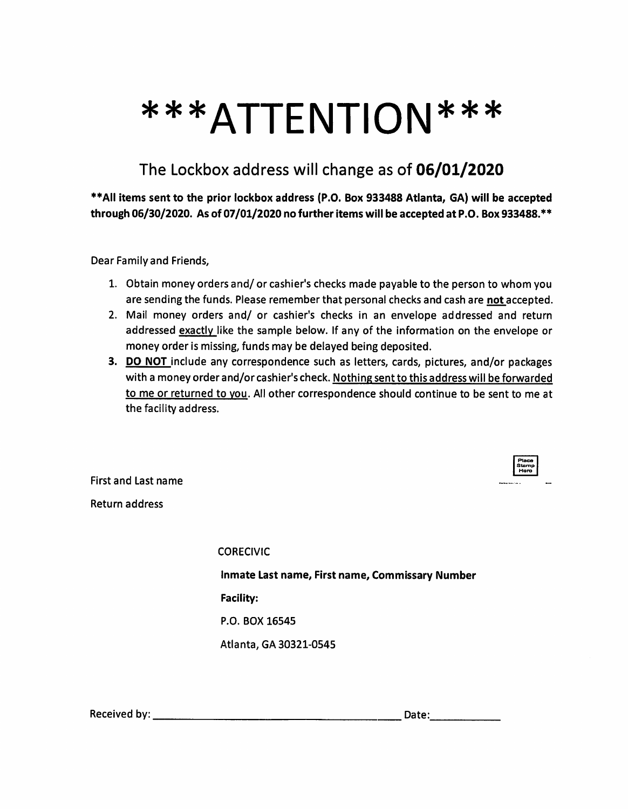## \*\*\*ATTENTION\*\*\*

## The Lockbox address will change as of 06/01/2020

\*\* All items sent to the prior lockbox address (P.O. Box 933488 Atlanta, GA) will be accepted through 06/30/2020. As of 07/01/2020 no further items will be accepted at P.O. Box 933488.\*\*

Dear Family and Friends,

- 1. Obtain money orders and/ or cashier's checks made payable to the person to whom you are sending the funds. Please remember that personal checks and cash are not accepted.
- 2. Mail money orders and/ or cashier's checks in an envelope addressed and return addressed exactly like the sample below. If any of the information on the envelope or money order is missing, funds may be delayed being deposited.
- 3. DO NOT include any correspondence such as letters, cards, pictures, and/or packages with a money order and/or cashier's check. Nothing sent to this address will be forwarded to me or returned to you. All other correspondence should continue to be sent to me at the facility address.

| Stamp<br>laro |  |
|---------------|--|
|               |  |

**First and Last name Return address** 

> **CORECIVIC** Inmate Last name, First name, Commissary Number **Facility:** P.O. BOX 16545 Atlanta, GA 30321-0545

Date: